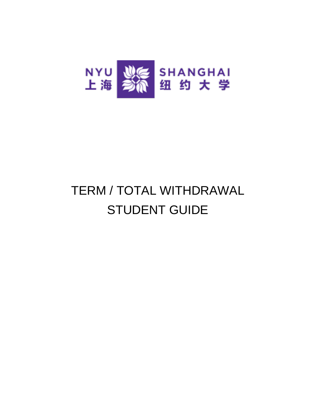

## TERM / TOTAL WITHDRAWAL STUDENT GUIDE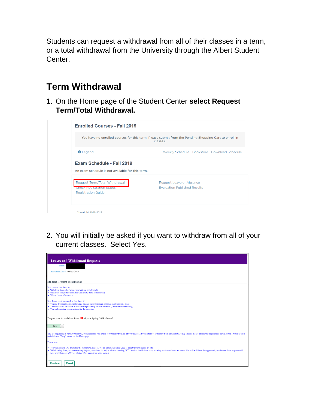Students can request a withdrawal from all of their classes in a term, or a total withdrawal from the University through the Albert Student Center.

## **Term Withdrawal**

1. On the Home page of the Student Center **select Request Term/Total Withdrawal.**



2. You will initially be asked if you want to withdraw from all of your current classes. Select Yes.

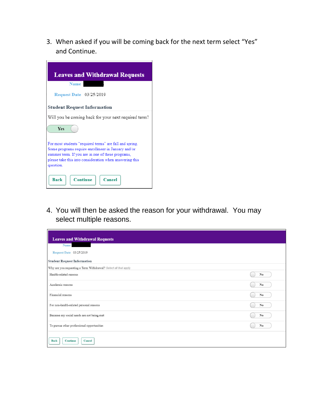3. When asked if you will be coming back for the next term select "Yes" and Continue.



4. You will then be asked the reason for your withdrawal. You may select multiple reasons.

| <b>Leaves and Withdrawal Requests</b>                            |    |
|------------------------------------------------------------------|----|
| Name                                                             |    |
| Request Date 03/25/2019                                          |    |
| <b>Student Request Information</b>                               |    |
| Why are you requesting a Term Withdrawal? Select all that apply. |    |
| Health-related reasons                                           | No |
| Academic reasons                                                 | No |
| Financial reasons                                                | No |
| For non-health-related personal reasons                          | No |
| Because my social needs are not being met                        | No |
| To pursue other professional opportunities                       | No |
| <b>Continue</b><br><b>Back</b><br>Cancel                         |    |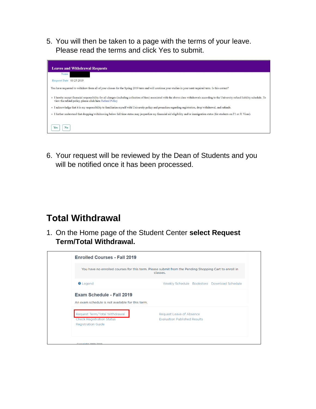5. You will then be taken to a page with the terms of your leave. Please read the terms and click Yes to submit.



6. Your request will be reviewed by the Dean of Students and you will be notified once it has been processed.

## **Total Withdrawal**

1. On the Home page of the Student Center **select Request Term/Total Withdrawal.**

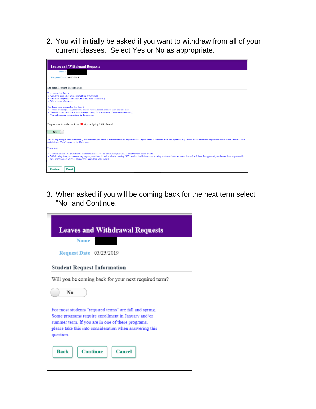2. You will initially be asked if you want to withdraw from all of your current classes. Select Yes or No as appropriate.

| <b>Leaves and Withdrawal Requests</b>                                                                                                                                                                                                                                                                                                                                                                          |
|----------------------------------------------------------------------------------------------------------------------------------------------------------------------------------------------------------------------------------------------------------------------------------------------------------------------------------------------------------------------------------------------------------------|
| Name                                                                                                                                                                                                                                                                                                                                                                                                           |
| Request Date 03/25/2019                                                                                                                                                                                                                                                                                                                                                                                        |
|                                                                                                                                                                                                                                                                                                                                                                                                                |
| <b>Student Request Information</b>                                                                                                                                                                                                                                                                                                                                                                             |
| You can use this form to:<br>· Withdraw from all of your classes (term withdrawal)<br>· Withdraw completely from the University (total withdrawal)<br>· Take a Leave of Absence                                                                                                                                                                                                                                |
| You do not need to complete this form if:<br>. You are dropping/adding individual classes but will remain enrolled in at least one class<br>You will have a half-time or full-time equivalency for the semester (Graduate students only)<br>• You will maintain matriculation for the semester                                                                                                                 |
| Do you want to withdraw from all of your Spring 2019 classes?                                                                                                                                                                                                                                                                                                                                                  |
| <b>Yes</b>                                                                                                                                                                                                                                                                                                                                                                                                     |
| You are requesting a "term withdrawal," which means you intend to withdraw from all of your classes. If you intend to withdraw from some (but not all) classes, please cancel this request and return to the Student Center<br>and click the "Drop" button on the Home page.                                                                                                                                   |
| Please note:                                                                                                                                                                                                                                                                                                                                                                                                   |
| You will receive a W grade for the withdrawn classes. Ws do not impact your GPA or count toward earned credits.<br>Withdrawing from your courses may impact your financial aid, academic standing, NYU student health insurance, housing, and/or student visa status. You will still have the opportunity to discuss these impacts with<br>vour school dean's office or advisor after submitting your request. |
| Cancel<br><b>Continue</b>                                                                                                                                                                                                                                                                                                                                                                                      |

3. When asked if you will be coming back for the next term select "No" and Continue.

| <b>Leaves and Withdrawal Requests</b>                                                                   |
|---------------------------------------------------------------------------------------------------------|
| <b>Name</b>                                                                                             |
| <b>Request Date</b> 03/25/2019                                                                          |
| <b>Student Request Information</b>                                                                      |
| Will you be coming back for your next required term?                                                    |
| No                                                                                                      |
| For most students "required terms" are fall and spring.                                                 |
| Some programs require enrollment in January and/or<br>summer term. If you are in one of these programs, |
| please take this into consideration when answering this<br>question.                                    |
| <b>Continue</b><br><b>Back</b><br>Cancel                                                                |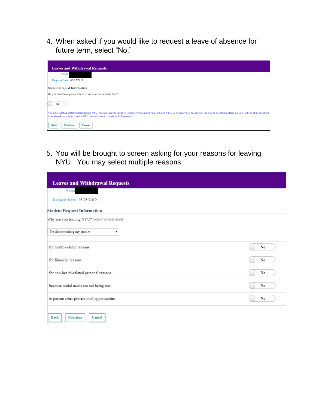4. When asked if you would like to request a leave of absence for future term, select "No."

| <b>Leaves and Withdrawal Requests</b>                                                                                                                                                                                                                                                                         |
|---------------------------------------------------------------------------------------------------------------------------------------------------------------------------------------------------------------------------------------------------------------------------------------------------------------|
| Name                                                                                                                                                                                                                                                                                                          |
| Request Date 03/25/2019                                                                                                                                                                                                                                                                                       |
| <b>Student Request Information</b>                                                                                                                                                                                                                                                                            |
| Do you want to request a Leave of Absence for a future term?                                                                                                                                                                                                                                                  |
| No                                                                                                                                                                                                                                                                                                            |
| You are requesting a total withdrawal from NYU, which means you intend to completely discontinue your studies at NYU. Upon approval of this request, you will be discontinued from the University, as of the requested<br>term; should you want to return to NYU, you will need to reapply to the University. |
| Cancel<br>Back<br><b>Continue</b>                                                                                                                                                                                                                                                                             |

5. You will be brought to screen asking for your reasons for leaving NYU. You may select multiple reasons.

| <b>Leaves and Withdrawal Requests</b>           |    |
|-------------------------------------------------|----|
| Name                                            |    |
| Request Date 03/25/2019                         |    |
| <b>Student Request Information</b>              |    |
| Why are you leaving NYU? Select all that apply. |    |
| I'm discontinuing my studies<br>▼               |    |
| for health-related reasons                      | No |
| for financial reasons                           | No |
| for non-health-related personal reasons         | No |
| because social needs are not being met          | No |
| to pursue other professional opportunities      | No |
| <b>Continue</b><br>Cancel<br><b>Back</b>        |    |